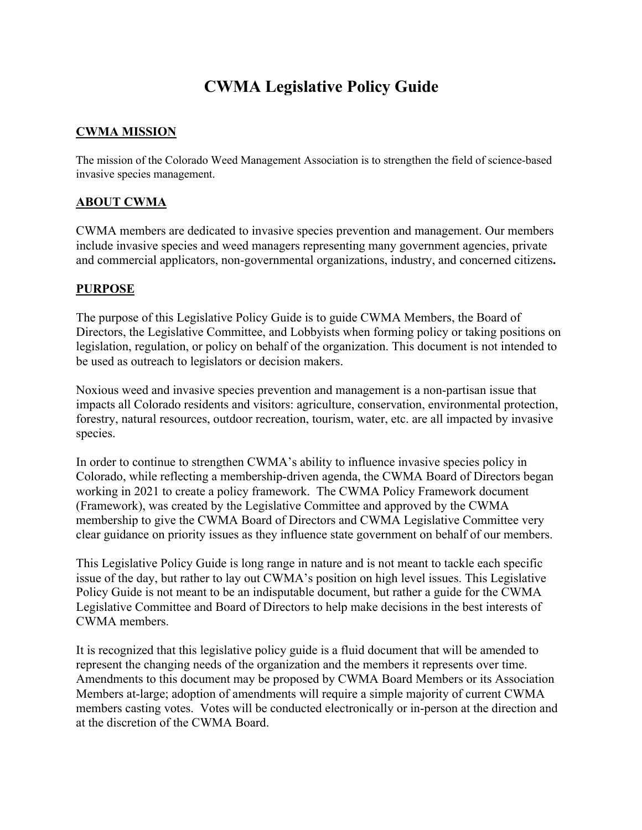# **CWMA Legislative Policy Guide**

## **CWMA MISSION**

The mission of the Colorado Weed Management Association is to strengthen the field of science-based invasive species management.

### **ABOUT CWMA**

CWMA members are dedicated to invasive species prevention and management. Our members include invasive species and weed managers representing many government agencies, private and commercial applicators, non-governmental organizations, industry, and concerned citizens**.**

#### **PURPOSE**

The purpose of this Legislative Policy Guide is to guide CWMA Members, the Board of Directors, the Legislative Committee, and Lobbyists when forming policy or taking positions on legislation, regulation, or policy on behalf of the organization. This document is not intended to be used as outreach to legislators or decision makers.

Noxious weed and invasive species prevention and management is a non-partisan issue that impacts all Colorado residents and visitors: agriculture, conservation, environmental protection, forestry, natural resources, outdoor recreation, tourism, water, etc. are all impacted by invasive species.

In order to continue to strengthen CWMA's ability to influence invasive species policy in Colorado, while reflecting a membership-driven agenda, the CWMA Board of Directors began working in 2021 to create a policy framework. The CWMA Policy Framework document (Framework), was created by the Legislative Committee and approved by the CWMA membership to give the CWMA Board of Directors and CWMA Legislative Committee very clear guidance on priority issues as they influence state government on behalf of our members.

This Legislative Policy Guide is long range in nature and is not meant to tackle each specific issue of the day, but rather to lay out CWMA's position on high level issues. This Legislative Policy Guide is not meant to be an indisputable document, but rather a guide for the CWMA Legislative Committee and Board of Directors to help make decisions in the best interests of CWMA members.

It is recognized that this legislative policy guide is a fluid document that will be amended to represent the changing needs of the organization and the members it represents over time. Amendments to this document may be proposed by CWMA Board Members or its Association Members at-large; adoption of amendments will require a simple majority of current CWMA members casting votes. Votes will be conducted electronically or in-person at the direction and at the discretion of the CWMA Board.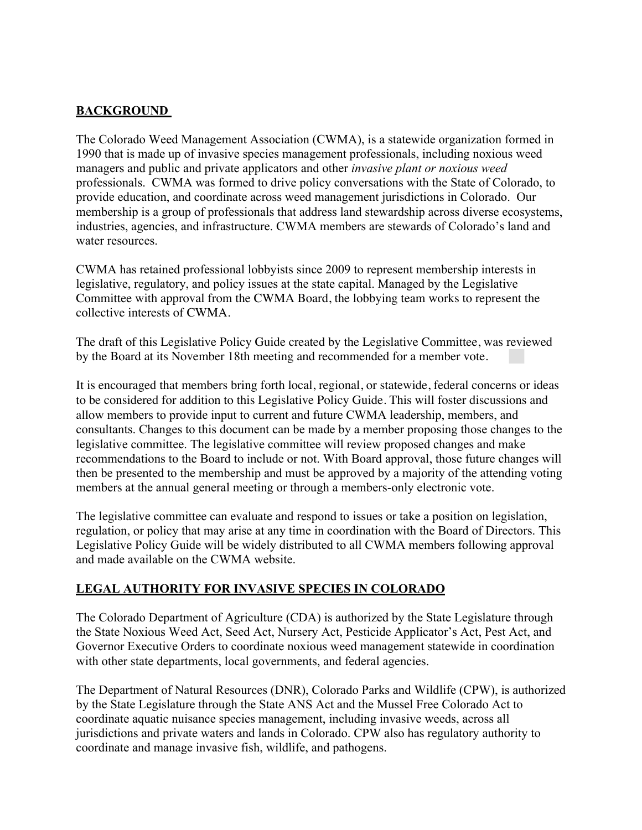## **BACKGROUND**

The Colorado Weed Management Association (CWMA), is a statewide organization formed in 1990 that is made up of invasive species management professionals, including noxious weed managers and public and private applicators and other *invasive plant or noxious weed* professionals. CWMA was formed to drive policy conversations with the State of Colorado, to provide education, and coordinate across weed management jurisdictions in Colorado. Our membership is a group of professionals that address land stewardship across diverse ecosystems, industries, agencies, and infrastructure. CWMA members are stewards of Colorado's land and water resources.

CWMA has retained professional lobbyists since 2009 to represent membership interests in legislative, regulatory, and policy issues at the state capital. Managed by the Legislative Committee with approval from the CWMA Board, the lobbying team works to represent the collective interests of CWMA.

The draft of this Legislative Policy Guide created by the Legislative Committee, was reviewed by the Board at its November 18th meeting and recommended for a member vote.

It is encouraged that members bring forth local, regional, or statewide, federal concerns or ideas to be considered for addition to this Legislative Policy Guide. This will foster discussions and allow members to provide input to current and future CWMA leadership, members, and consultants. Changes to this document can be made by a member proposing those changes to the legislative committee. The legislative committee will review proposed changes and make recommendations to the Board to include or not. With Board approval, those future changes will then be presented to the membership and must be approved by a majority of the attending voting members at the annual general meeting or through a members-only electronic vote.

The legislative committee can evaluate and respond to issues or take a position on legislation, regulation, or policy that may arise at any time in coordination with the Board of Directors. This Legislative Policy Guide will be widely distributed to all CWMA members following approval and made available on the CWMA website.

## **LEGAL AUTHORITY FOR INVASIVE SPECIES IN COLORADO**

The Colorado Department of Agriculture (CDA) is authorized by the State Legislature through the State Noxious Weed Act, Seed Act, Nursery Act, Pesticide Applicator's Act, Pest Act, and Governor Executive Orders to coordinate noxious weed management statewide in coordination with other state departments, local governments, and federal agencies.

The Department of Natural Resources (DNR), Colorado Parks and Wildlife (CPW), is authorized by the State Legislature through the State ANS Act and the Mussel Free Colorado Act to coordinate aquatic nuisance species management, including invasive weeds, across all jurisdictions and private waters and lands in Colorado. CPW also has regulatory authority to coordinate and manage invasive fish, wildlife, and pathogens.